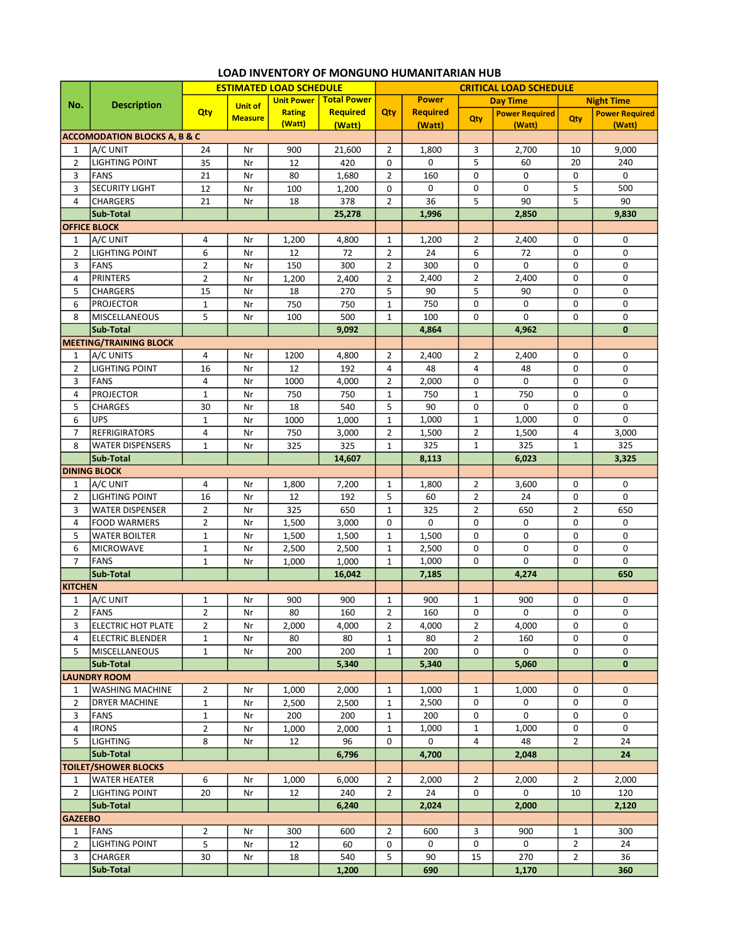|                                      | <b>Description</b>                      | <b>ESTIMATED LOAD SCHEDULE</b> |                |                   |                    | <b>CRITICAL LOAD SCHEDULE</b> |                 |                |                       |                |                       |  |
|--------------------------------------|-----------------------------------------|--------------------------------|----------------|-------------------|--------------------|-------------------------------|-----------------|----------------|-----------------------|----------------|-----------------------|--|
| No.                                  |                                         |                                | <b>Unit of</b> | <b>Unit Power</b> | <b>Total Power</b> |                               | <b>Power</b>    |                | <b>Day Time</b>       |                | <b>Night Time</b>     |  |
|                                      |                                         | Qty                            | <b>Measure</b> | <b>Rating</b>     | <b>Required</b>    | Qty                           | <b>Required</b> | Qty            | <b>Power Required</b> | Qty            | <b>Power Required</b> |  |
|                                      |                                         |                                |                | (Watt)            | (Watt)             |                               | (Watt)          |                | (Watt)                |                | (Watt)                |  |
|                                      | <b>ACCOMODATION BLOCKS A, B &amp; C</b> |                                |                |                   |                    |                               |                 |                |                       |                |                       |  |
| 1                                    | A/C UNIT                                | 24                             | Nr             | 900               | 21,600             | $\overline{2}$                | 1,800           | 3              | 2,700                 | 10             | 9,000                 |  |
| $\overline{2}$                       | <b>LIGHTING POINT</b>                   | 35                             | Nr             | 12                | 420                | 0                             | 0               | 5              | 60                    | 20             | 240                   |  |
| 3                                    | <b>FANS</b>                             | 21                             | Nr             | 80                | 1,680              | $\overline{2}$                | 160             | 0              | 0                     | 0              | 0                     |  |
| 3                                    | <b>SECURITY LIGHT</b>                   | 12                             | Nr             | 100               | 1,200              | $\mathbf 0$                   | 0               | 0              | 0                     | 5              | 500                   |  |
| 4                                    | <b>CHARGERS</b>                         | 21                             | Nr             | 18                | 378                | $\overline{2}$                | 36              | 5              | 90                    | 5              | 90                    |  |
|                                      | Sub-Total                               |                                |                |                   | 25,278             |                               | 1,996           |                | 2,850                 |                | 9,830                 |  |
|                                      | <b>OFFICE BLOCK</b>                     |                                |                |                   |                    |                               |                 |                |                       |                |                       |  |
| 1                                    | A/C UNIT                                | 4                              | Nr             | 1,200             | 4,800              | 1                             | 1,200           | $\overline{2}$ | 2,400                 | 0              | 0                     |  |
| $\overline{2}$                       | <b>LIGHTING POINT</b>                   | 6                              | Nr             | 12                | 72                 | $\overline{2}$                | 24              | 6              | 72                    | 0              | 0                     |  |
| 3                                    | <b>FANS</b>                             | $\overline{2}$                 | Nr             | 150               | 300                | $\overline{2}$                | 300             | 0              | 0                     | $\mathbf 0$    | 0                     |  |
| 4                                    | <b>PRINTERS</b>                         | $\overline{2}$                 | Nr             | 1,200             | 2,400              | $\overline{2}$                | 2,400           | $\overline{2}$ | 2,400                 | 0              | 0                     |  |
| 5                                    | <b>CHARGERS</b>                         | 15                             | Nr             | 18                | 270                | 5                             | 90              | 5              | 90                    | 0              | 0                     |  |
| 6                                    | <b>PROJECTOR</b>                        | $\mathbf{1}$                   | Nr             | 750               | 750                | $\mathbf 1$                   | 750             | 0              | 0                     | 0              | 0                     |  |
| 8                                    | MISCELLANEOUS                           | 5                              | Nr             | 100               | 500                | $\mathbf{1}$                  | 100             | 0              | 0                     | $\mathbf 0$    | 0                     |  |
|                                      | Sub-Total                               |                                |                |                   | 9,092              |                               | 4,864           |                | 4,962                 |                | $\mathbf{0}$          |  |
|                                      | <b>MEETING/TRAINING BLOCK</b>           |                                |                |                   |                    |                               |                 |                |                       |                |                       |  |
| $\mathbf{1}$                         | A/C UNITS                               | 4                              | Nr             | 1200              | 4,800              | 2                             | 2,400           | $\overline{2}$ | 2,400                 | 0              | 0                     |  |
| $\overline{2}$                       | <b>LIGHTING POINT</b>                   | 16                             | Nr             | 12                | 192                | 4                             | 48              | 4              | 48                    | 0              | 0                     |  |
| 3                                    | <b>FANS</b>                             | 4                              | Nr             | 1000              | 4,000              | $\overline{2}$                | 2,000           | 0              | 0                     | 0              | 0                     |  |
| 4                                    | <b>PROJECTOR</b>                        | $\mathbf{1}$                   | Nr             | 750               | 750                | $\mathbf{1}$                  | 750             | $\mathbf{1}$   | 750                   | $\mathbf 0$    | 0                     |  |
| 5                                    | <b>CHARGES</b>                          | 30                             | Nr             | 18                | 540                | 5                             | 90              | $\pmb{0}$      | 0                     | 0              | 0                     |  |
| 6                                    | <b>UPS</b>                              | $\mathbf{1}$                   | Nr             | 1000              | 1,000              | $\mathbf 1$                   | 1,000           | $\mathbf 1$    | 1,000                 | 0              | 0                     |  |
| $\overline{7}$                       | <b>REFRIGIRATORS</b>                    | 4                              | Nr             | 750               | 3,000              | $\overline{2}$                | 1,500           | $\overline{2}$ | 1,500                 | 4              | 3,000                 |  |
| 8                                    | <b>WATER DISPENSERS</b>                 | $\mathbf{1}$                   | Nr             | 325               | 325                | $\mathbf{1}$                  | 325             | $\mathbf{1}$   | 325                   | $\mathbf{1}$   | 325                   |  |
|                                      | Sub-Total                               |                                |                |                   | 14,607             |                               | 8,113           |                | 6,023                 |                | 3,325                 |  |
|                                      | <b>DINING BLOCK</b>                     |                                |                |                   |                    |                               |                 |                |                       |                |                       |  |
| 1                                    | A/C UNIT                                | 4                              | Nr             | 1,800             | 7,200              | 1                             | 1,800           | $\overline{2}$ | 3,600                 | 0              | 0                     |  |
| $\overline{2}$                       | <b>LIGHTING POINT</b>                   | 16                             | Nr             | 12                | 192                | 5                             | 60              | $\overline{2}$ | 24                    | 0              | 0                     |  |
| 3                                    | <b>WATER DISPENSER</b>                  | $\overline{2}$                 | Nr             | 325               | 650                | $\mathbf{1}$                  | 325             | $\overline{2}$ | 650                   | $\overline{2}$ | 650                   |  |
| 4                                    | <b>FOOD WARMERS</b>                     | $\overline{2}$                 | Nr             | 1,500             | 3,000              | 0                             | 0               | $\mathbf 0$    | 0                     | 0              | 0                     |  |
| 5                                    | <b>WATER BOILTER</b>                    | $\mathbf{1}$                   | Nr             | 1,500             | 1,500              | $\mathbf 1$                   | 1,500           | 0              | 0                     | 0              | 0                     |  |
| 6                                    | <b>MICROWAVE</b>                        | $\mathbf 1$                    | Nr             | 2,500             | 2,500              | $\mathbf{1}$                  | 2,500           | 0              | 0                     | 0              | 0                     |  |
| $\overline{7}$                       | <b>FANS</b>                             | $\mathbf{1}$                   | Nr             | 1,000             | 1,000              | $\mathbf{1}$                  | 1,000           | 0              | 0                     | 0              | 0                     |  |
|                                      | Sub-Total                               |                                |                |                   | 16,042             |                               | 7,185           |                | 4,274                 |                | 650                   |  |
| <b>KITCHEN</b>                       |                                         |                                |                |                   |                    |                               |                 |                |                       |                |                       |  |
| $\mathbf{1}$                         | A/C UNIT                                | $\mathbf 1$                    | Nr             | 900               | 900                | $\mathbf 1$                   | 900             | $\mathbf{1}$   | 900                   | 0              | 0                     |  |
| $\overline{2}$                       | FANS                                    | $\overline{2}$                 | Nr             | 80                | 160                | $\overline{2}$                | 160             | 0              | 0                     | 0              | 0                     |  |
| 3                                    | <b>ELECTRIC HOT PLATE</b>               | 2                              | Nr             | 2,000             | 4,000              | $\overline{2}$                | 4,000           | $\overline{2}$ | 4,000                 | 0              | 0                     |  |
| $\overline{4}$                       | <b>ELECTRIC BLENDER</b>                 | $\mathbf{1}$                   | Nr             | 80                | 80                 | $\mathbf{1}$                  | 80              | $\overline{2}$ | 160                   | 0              | 0                     |  |
| 5                                    | <b>MISCELLANEOUS</b>                    | $\mathbf{1}$                   | Nr             | 200               | 200                | $\mathbf{1}$                  | 200             | 0              | 0                     | 0              | 0                     |  |
|                                      |                                         |                                |                |                   |                    |                               |                 |                | 5,060                 |                | $\mathbf{0}$          |  |
|                                      | Sub-Total<br><b>LAUNDRY ROOM</b>        |                                |                |                   | 5,340              |                               | 5,340           |                |                       |                |                       |  |
| 1                                    | <b>WASHING MACHINE</b>                  | $\overline{2}$                 | Nr             | 1,000             | 2.000              | 1                             | 1,000           | 1              | 1,000                 | 0              | 0                     |  |
| $\overline{2}$                       | <b>DRYER MACHINE</b>                    | $\mathbf{1}$                   | Nr             | 2,500             | 2,500              | $\mathbf{1}$                  | 2,500           | 0              | 0                     | 0              | 0                     |  |
|                                      | <b>FANS</b>                             | $\mathbf{1}$                   | Nr             | 200               | 200                |                               | 200             | 0              | 0                     | 0              | 0                     |  |
| 3<br>4                               | <b>IRONS</b>                            |                                |                |                   |                    | 1                             |                 |                |                       | 0              | 0                     |  |
|                                      |                                         | $\overline{2}$                 | Nr             | 1,000             | 2,000              | $\mathbf{1}$                  | 1,000           | $\mathbf{1}$   | 1,000                 |                |                       |  |
| 5                                    | <b>LIGHTING</b>                         | 8                              | Nr             | 12                | 96                 | 0                             | 0               | 4              | 48                    | $\overline{2}$ | 24                    |  |
|                                      | Sub-Total                               |                                |                |                   | 6,796              |                               | 4,700           |                | 2,048                 |                | 24                    |  |
|                                      | <b>TOILET/SHOWER BLOCKS</b>             |                                |                |                   |                    |                               |                 |                |                       |                |                       |  |
| 1                                    | <b>WATER HEATER</b>                     | 6                              | Nr             | 1,000             | 6,000              | $\overline{2}$                | 2,000           | $\mathbf{2}$   | 2,000                 | 2              | 2,000                 |  |
| $\overline{2}$                       | LIGHTING POINT                          | 20                             | Nr             | 12                | 240                | $\overline{2}$                | 24              | 0              | 0                     | 10             | 120                   |  |
| Sub-Total<br>2,024<br>2,000<br>6,240 |                                         |                                |                |                   |                    |                               |                 | 2,120          |                       |                |                       |  |
| <b>GAZEEBO</b>                       |                                         |                                |                |                   |                    |                               |                 |                |                       |                |                       |  |
| $\mathbf{1}$                         | FANS                                    | 2                              | Nr             | 300               | 600                | $\overline{2}$                | 600             | 3              | 900                   | 1              | 300                   |  |
| 2                                    | LIGHTING POINT                          | 5                              | Nr             | 12                | 60                 | 0                             | 0               | 0              | 0                     | $\overline{2}$ | 24                    |  |
| 3                                    | <b>CHARGER</b>                          | 30                             | Nr             | 18                | 540                | 5                             | 90              | 15             | 270                   | $\overline{2}$ | 36                    |  |
|                                      | Sub-Total                               |                                |                |                   | 1,200              |                               | 690             |                | 1,170                 |                | 360                   |  |

## LOAD INVENTORY OF MONGUNO HUMANITARIAN HUB